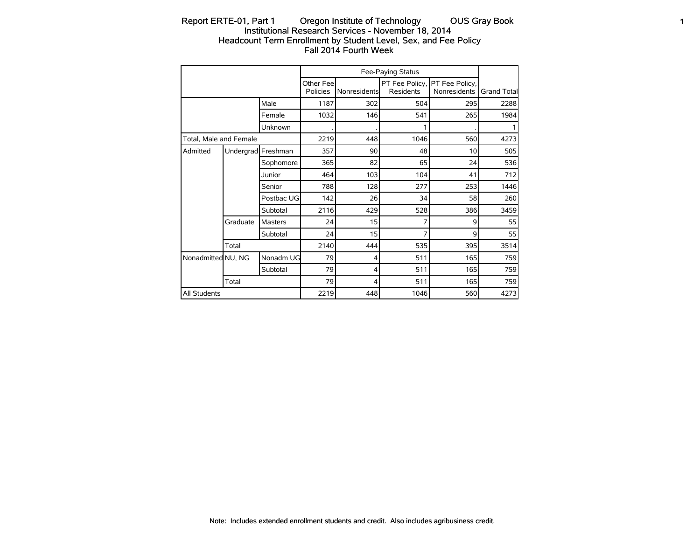# Report ERTE-01, Part 1 Oregon Institute of Technology OUS Gray Book 1 Institutional Research Services - November 18, 2014 Headcount Term Enrollment by Student Level, Sex, and Fee Policy Fall 2014 Fourth Week

|                        |                    |            |                        |                     | Fee-Paying Status           |                                |                    |
|------------------------|--------------------|------------|------------------------|---------------------|-----------------------------|--------------------------------|--------------------|
|                        |                    |            | Other Feel<br>Policies | <b>Nonresidents</b> | PT Fee Policy,<br>Residents | PT Fee Policy,<br>Nonresidents | <b>Grand Total</b> |
|                        |                    | Male       | 1187                   | 302                 | 504                         | 295                            | 2288               |
|                        |                    | Female     | 1032                   | 146                 | 541                         | 265                            | 1984               |
|                        |                    | Unknown    |                        |                     |                             |                                |                    |
| Total, Male and Female |                    |            | 2219                   | 448                 | 1046                        | 560                            | 4273               |
| Admitted               | Undergrad Freshman |            | 357                    | 90                  | 48                          | 10                             | 505                |
|                        |                    | Sophomore  | 365                    | 82                  | 65                          | 24                             | 536                |
|                        |                    | Junior     | 464                    | 103                 | 104                         | 41                             | 712                |
|                        |                    | Senior     | 788                    | 128                 | 277                         | 253                            | 1446               |
|                        |                    | Postbac UG | 142                    | 26                  | 34                          | 58                             | 260                |
|                        |                    | Subtotal   | 2116                   | 429                 | 528                         | 386                            | 3459               |
|                        | Graduate           | Masters    | 24                     | 15                  | 7                           | 9                              | 55                 |
|                        |                    | Subtotal   | 24                     | 15                  | 7                           | 9                              | 55                 |
|                        | Total              |            | 2140                   | 444                 | 535                         | 395                            | 3514               |
| Nonadmitted NU, NG     |                    | Nonadm UG  | 79                     | 4                   | 511                         | 165                            | 759                |
|                        |                    | Subtotal   | 79                     | 4                   | 511                         | 165                            | 759                |
|                        | Total              |            | 79                     | 4                   | 511                         | 165                            | 759                |
| All Students           |                    |            | 2219                   | 448                 | 1046                        | 560                            | 4273               |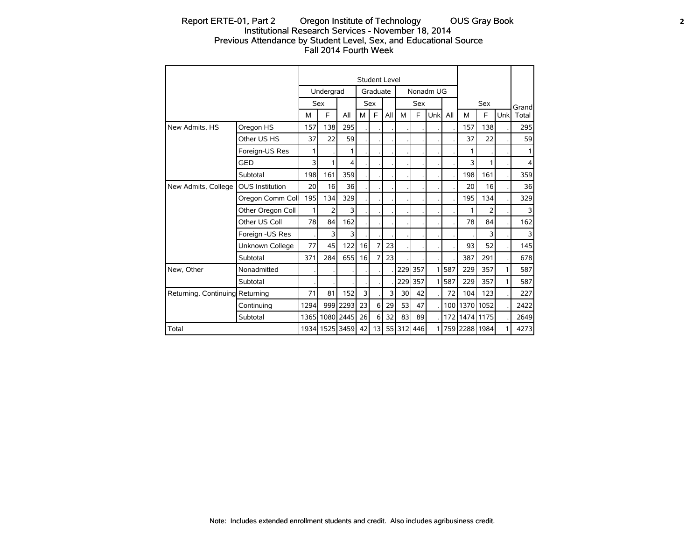# Report ERTE-01, Part 2 Oregon Institute of Technology OUS Gray Book 2 Institutional Research Services - November 18, 2014 Previous Attendance by Student Level, Sex, and Educational Source Fall 2014 Fourth Week

|                                 |                        |       |                |                |    |                | Student Level |                 |            |                |     |               |            |     |                |
|---------------------------------|------------------------|-------|----------------|----------------|----|----------------|---------------|-----------------|------------|----------------|-----|---------------|------------|-----|----------------|
|                                 |                        |       | Undergrad      |                |    | Graduate       |               |                 |            | Nonadm UG      |     |               |            |     |                |
|                                 |                        |       | <b>Sex</b>     |                |    | Sex            |               |                 | <b>Sex</b> |                |     |               | <b>Sex</b> |     | Grand          |
|                                 |                        | м     | E              | All            | M  | F.             | All           | M               | E          | Unkl All       |     | м             | E          | Unk | Total          |
| New Admits, HS                  | Oregon HS              | 157   | 138            | 295            |    |                |               |                 |            |                |     | 157           | 138        |     | 295            |
|                                 | Other US HS            | 37    | 22             | 59             |    |                |               |                 |            |                |     | 37            | 22         |     | 59             |
|                                 | Foreign-US Res         | 1     |                | 1              |    |                |               |                 |            |                |     | 1             |            |     | 1              |
|                                 | GED                    | 3     | 1              | $\overline{4}$ |    |                |               |                 |            |                |     | 3             | 1          |     | $\overline{4}$ |
|                                 | Subtotal               | 198   | 161            | 359            |    |                |               |                 |            |                |     | 198           | 161        |     | 359            |
| New Admits, College             | <b>OUS Institution</b> | 20    | 16             | 36             |    |                |               |                 |            |                |     | 20            | 16         |     | 36             |
|                                 | Oregon Comm Coll       | 195   | 134            | 329            |    |                |               |                 |            |                |     | 195           | 134        |     | 329            |
|                                 | Other Oregon Coll      | 1     | $\overline{2}$ | 3              |    |                |               |                 |            |                |     | 1             | 2          |     | 3              |
|                                 | Other US Coll          | 78    | 84             | 162            |    |                |               |                 |            |                |     | 78            | 84         |     | 162            |
|                                 | Foreign -US Res        |       | 3              | 3              |    |                |               |                 |            |                |     |               | 3          |     | 3              |
|                                 | Unknown College        | 77    | 45             | 122            | 16 | $\overline{7}$ | 23            |                 |            |                |     | 93            | 52         |     | 145            |
|                                 | Subtotal               | 371   | 284            | 655            | 16 | 7              | 23            |                 |            |                |     | 387           | 291        |     | 678            |
| New, Other                      | Nonadmitted            |       |                |                |    |                |               |                 | 229 357    | 1              | 587 | 229           | 357        | 1   | 587            |
|                                 | Subtotal               |       |                |                |    |                |               |                 | 229 357    | 1 <sup>1</sup> | 587 | 229           | 357        | 1   | 587            |
| Returning, Continuing Returning |                        | 71    | 81             | 152            | 3  |                | 3             | 30 <sup>1</sup> | 42         |                | 72  | 104           | 123        |     | 227            |
|                                 | Continuing             | 1294  | 999            | 2293           | 23 | 6              | 29            | 53              | 47         |                | 100 | 1370          | 1052       |     | 2422           |
|                                 | Subtotal               | 1365I |                | 1080 2445      | 26 | 6              | 32            | 83              | 89         |                |     | 172 1474 1175 |            |     | 2649           |
| Total                           |                        |       |                | 1934 1525 3459 | 42 | 13             |               | 55 312 446      |            | 1              |     | 759 2288 1984 |            | 1   | 4273           |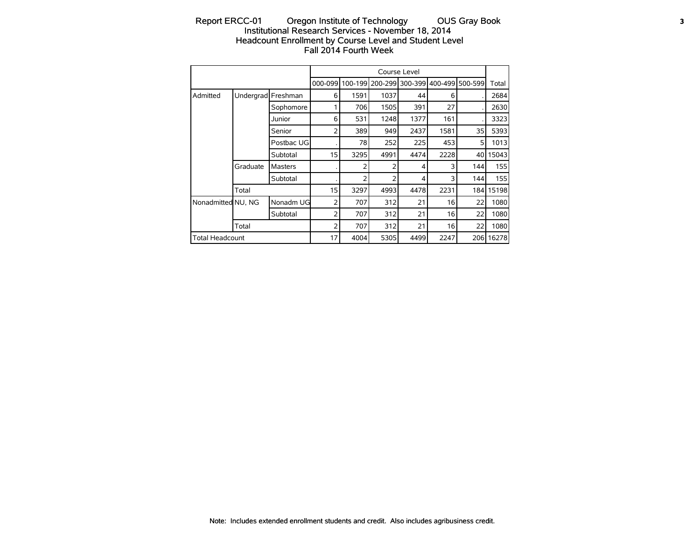# Report ERCC-01 Oregon Institute of Technology OUS Gray Book 3 Institutional Research Services - November 18, 2014 Headcount Enrollment by Course Level and Student Level Fall 2014 Fourth Week

|                        |           |                |         |      |                         | Course Level |         |         |           |
|------------------------|-----------|----------------|---------|------|-------------------------|--------------|---------|---------|-----------|
|                        |           |                | 000-099 |      | 100-199 200-299 300-399 |              | 400-499 | 500-599 | Total     |
| Admitted               | Undergrad | Freshman       | 6       | 1591 | 1037                    | 44           | 6       |         | 2684      |
|                        |           | Sophomore      |         | 706  | 1505                    | 391          | 27      |         | 2630      |
|                        |           | Junior         | 6       | 531  | 1248                    | 1377         | 161     |         | 3323      |
|                        |           | Senior         | 2       | 389  | 949                     | 2437         | 1581    | 35      | 5393      |
|                        |           | Postbac UG     |         | 78   | 252                     | 225          | 453     | 5       | 1013      |
|                        |           | Subtotal       | 15      | 3295 | 4991                    | 4474         | 2228    | 40      | 15043     |
|                        | Graduate  | <b>Masters</b> |         |      | 2                       | 4            | 3       | 144     | 155       |
|                        |           | Subtotal       |         |      | 2                       | 4            | 3       | 144     | 155       |
|                        | Total     |                | 15      | 3297 | 4993                    | 4478         | 2231    |         | 184 15198 |
| Nonadmitted NU, NG     |           | Nonadm UG      | 2       | 707  | 312                     | 21           | 16      | 22      | 1080      |
|                        |           | Subtotal       | 2       | 707  | 312                     | 21           | 16      | 22      | 1080      |
|                        | Total     |                | 2       | 707  | 312                     | 21           | 16      | 22      | 1080      |
| <b>Total Headcount</b> |           |                | 17      | 4004 | 5305                    | 4499         | 2247    | 206     | 16278     |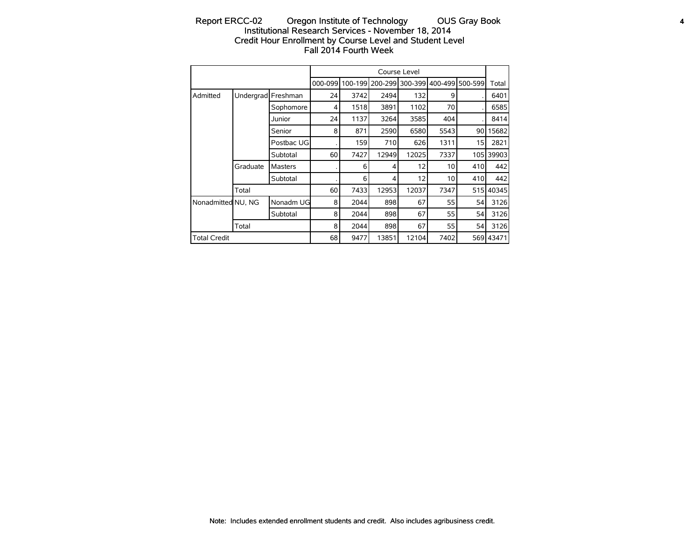# Report ERCC-02 Oregon Institute of Technology OUS Gray Book 4 Institutional Research Services - November 18, 2014 Credit Hour Enrollment by Course Level and Student Level Fall 2014 Fourth Week

|                     |          |                    |                 |         |       | Course Level     |      |                 |           |
|---------------------|----------|--------------------|-----------------|---------|-------|------------------|------|-----------------|-----------|
|                     |          |                    | 000-099         | 100-199 |       | 200-2991300-3991 |      | 400-499 500-599 | Total     |
| Admitted            |          | Undergrad Freshman | 24              | 3742    | 2494  | 132              | 9    |                 | 6401      |
|                     |          | Sophomore          | 4               | 1518    | 3891  | 1102             | 70   |                 | 6585      |
|                     |          | Junior             | 24              | 1137    | 3264  | 3585             | 404  |                 | 8414      |
|                     |          | Senior             | 8               | 871     | 2590  | 6580             | 5543 | 90 I            | 15682     |
|                     |          | Postbac UG         |                 | 159     | 710   | 626              | 1311 | 15              | 2821      |
|                     |          | Subtotal           | 60 <sub>1</sub> | 7427    | 12949 | 12025            | 7337 |                 | 105 39903 |
|                     | Graduate | Masters            |                 | 6       | 4     | 12               | 10   | 410             | 442       |
|                     |          | Subtotal           |                 | 6       | 4     | 12               | 10   | 410             | 442       |
|                     | Total    |                    | 60              | 7433    | 12953 | 12037            | 7347 | 515             | 40345     |
| Nonadmitted NU, NG  |          | Nonadm UG          | 8               | 2044    | 898   | 67               | 55   | 54              | 3126      |
|                     |          | Subtotal           | 8               | 2044    | 898   | 67               | 55   | 54              | 3126      |
|                     | Total    |                    | 8               | 2044    | 898   | 67               | 55   | 54              | 3126      |
| <b>Total Credit</b> |          |                    | 68              | 9477    | 13851 | 12104            | 7402 |                 | 569 43471 |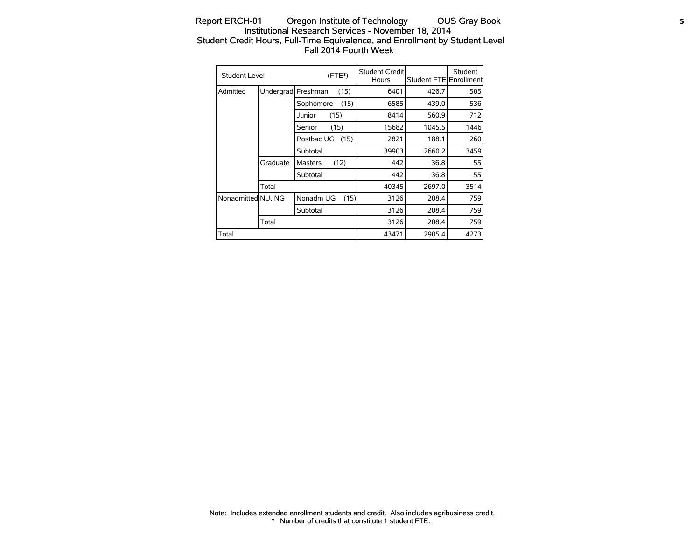## Report ERCH-01 Oregon Institute of Technology OUS Gray Book 5 Institutional Research Services - November 18, 2014 Student Credit Hours, Full-Time Equivalence, and Enrollment by Student Level Fall 2014 Fourth Week

| <b>Student Level</b> |           |                 | $(FTE*)$ | Student Credit<br>Hours | Student FTE Enrollment | Student |
|----------------------|-----------|-----------------|----------|-------------------------|------------------------|---------|
| Admitted             | Undergrad | Freshman        | (15)     | 6401                    | 426.7                  | 505     |
|                      |           | Sophomore       | (15)     | 6585                    | 439.0                  | 536     |
|                      |           | Junior<br>(15)  |          | 8414                    | 560.9                  | 712     |
|                      |           | Senior          | (15)     | 15682                   | 1045.5                 | 1446    |
|                      |           | Postbac UG (15) |          | 2821                    | 188.1                  | 260     |
|                      |           | Subtotal        |          | 39903                   | 2660.2                 | 3459    |
|                      | Graduate  | <b>Masters</b>  | (12)     | 442                     | 36.8                   | 55      |
|                      |           | Subtotal        |          | 442                     | 36.8                   | 55      |
|                      | Total     |                 |          | 40345                   | 2697.0                 | 3514    |
| Nonadmitted NU, NG   |           | Nonadm UG       | (15)     | 3126                    | 208.4                  | 759     |
|                      |           | Subtotal        |          | 3126                    | 208.4                  | 759     |
|                      | Total     |                 |          | 3126                    | 208.4                  | 759     |
| Total                |           |                 |          | 43471                   | 2905.4                 | 4273    |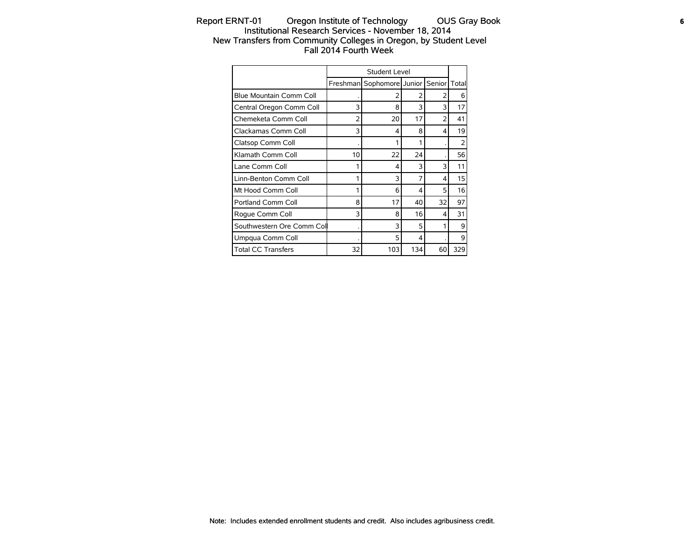# Report ERNT-01 Oregon Institute of Technology OUS Gray Book **6** Institutional Research Services - November 18, 2014 New Transfers from Community Colleges in Oregon, by Student Level Fall 2014 Fourth Week

|                                |    | Student Level             |     |        |        |
|--------------------------------|----|---------------------------|-----|--------|--------|
|                                |    | Freshman Sophomore Junior |     | Senior | Totall |
| <b>Blue Mountain Comm Coll</b> |    | フ                         | 2   | 2      | 6      |
| Central Oregon Comm Coll       | 3  | 8                         | 3   | 3      | 17     |
| Chemeketa Comm Coll            | 2  | 20                        | 17  | 2      | 41     |
| Clackamas Comm Coll            | 3  | 4                         | 8   | 4      | 19     |
| Clatsop Comm Coll              |    | 1                         |     |        | フ      |
| Klamath Comm Coll              | 10 | 22                        | 24  |        | 56     |
| Lane Comm Coll                 |    | 4                         | 3   | 3      | 11     |
| Linn-Benton Comm Coll          |    | 3                         |     | 4      | 15     |
| Mt Hood Comm Coll              |    | 6                         | 4   | 5      | 16     |
| Portland Comm Coll             | 8  | 17                        | 40  | 32     | 97     |
| Roque Comm Coll                | 3  | 8                         | 16  | 4      | 31     |
| Southwestern Ore Comm Col      |    | 3                         | 5   |        | 9      |
| Umpqua Comm Coll               |    | 5                         | 4   |        | 9      |
| <b>Total CC Transfers</b>      | 32 | 103                       | 134 | 60     | 329    |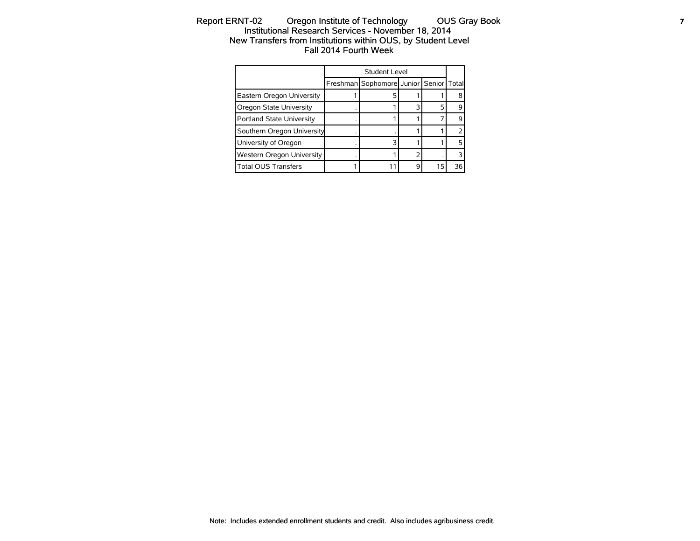# Report ERNT-02 Oregon Institute of Technology OUS Gray Book **7** Institutional Research Services - November 18, 2014 New Transfers from Institutions within OUS, by Student Level Fall 2014 Fourth Week

|                                  | <b>Student Level</b>                   |    |    |
|----------------------------------|----------------------------------------|----|----|
|                                  | Freshman Sophomore Junior Senior Total |    |    |
| Eastern Oregon University        |                                        |    |    |
| Oregon State University          |                                        |    |    |
| Portland State University        |                                        |    |    |
| Southern Oregon University       |                                        |    |    |
| University of Oregon             |                                        |    |    |
| <b>Western Oregon University</b> |                                        |    |    |
| <b>Total OUS Transfers</b>       |                                        | 15 | 36 |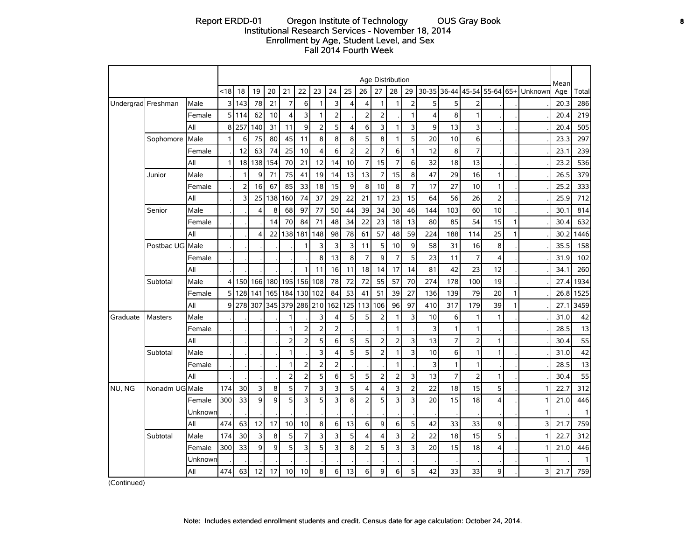#### Report ERDD-01 Oregon Institute of Technology OUS Gray Book **8** Institutional Research Services - November 18, 2014 Enrollment by Age, Student Level, and Sex Fall 2014 Fourth Week

|          |                    |         |      |                |                |     |                |                |                |                |                |                | Age Distribution |                |                         |           |                   |                |                |              |         |             |              |
|----------|--------------------|---------|------|----------------|----------------|-----|----------------|----------------|----------------|----------------|----------------|----------------|------------------|----------------|-------------------------|-----------|-------------------|----------------|----------------|--------------|---------|-------------|--------------|
|          |                    |         | < 18 | 18             | 19             | 20  | 21             | 22             | 23             | 24             | 25             | 26             | 27               | 28             | 29                      | $30 - 35$ | 36-44 45-54 55-64 |                |                | $65+$        | Unknown | Mean<br>Age | Total        |
|          | Undergrad Freshman | Male    | 3    | 143            | 78             | 21  | $\overline{7}$ | 6              | 1              | 3              | 4              | 4              | $\mathbf{1}$     | 1              | $\overline{2}$          | 5         | 5                 | $\overline{2}$ |                |              |         | 20.3        | 286          |
|          |                    | Female  | 5    | 114            | 62             | 10  | $\overline{4}$ | 3              | 1              | $\overline{2}$ |                | $\overline{2}$ | $\overline{2}$   |                | $\mathbf{1}$            | 4         | 8                 | $\mathbf{1}$   |                |              |         | 20.4        | 219          |
|          |                    | All     | 8    | 257            | 140            | 31  | 11             | 9              | 2              | 5              | 4              | 6              | 3                | 1              | 3                       | 9         | 13                | 3              |                |              |         | 20.4        | 505          |
|          | Sophomore          | Male    | 1    | 6              | 75             | 80  | 45             | 11             | 8              | 8              | 8              | 5              | 8                | 1              | 5                       | 20        | 10                | 6              |                |              |         | 23.3        | 297          |
|          |                    | Female  |      | 12             | 63             | 74  | 25             | 10             | 4              | 6              | $\overline{2}$ | $\overline{2}$ | $\overline{7}$   | 6              | $\mathbf{1}$            | 12        | 8                 | $\overline{7}$ |                |              |         | 23.1        | 239          |
|          |                    | All     | 1    |                | 18 138         | 154 | 70             | 21             | 12             | 14             | 10             | $\overline{7}$ | 15               | 7              | 6                       | 32        | 18                | 13             |                |              |         | 23.2        | 536          |
|          | Junior             | Male    |      | 1              | 9              | 71  | 75             | 41             | 19             | 14             | 13             | 13             | $\overline{7}$   | 15             | 8                       | 47        | 29                | 16             | 1              |              |         | 26.5        | 379          |
|          |                    | Female  |      | $\overline{2}$ | 16             | 67  | 85             | 33             | 18             | 15             | 9              | 8              | 10               | 8              | $\overline{7}$          | 17        | 27                | 10             | $\mathbf{1}$   |              |         | 25.2        | 333          |
|          |                    | All     |      | 3              | 25             | 138 | 160            | 74             | 37             | 29             | 22             | 21             | 17               | 23             | 15                      | 64        | 56                | 26             | $\overline{2}$ |              |         | 25.9        | 712          |
|          | Senior             | Male    |      |                | $\overline{4}$ | 8   | 68             | 97             | 77             | 50             | 44             | 39             | 34               | 30             | 46                      | 144       | 103               | 60             | 10             |              |         | 30.1        | 814          |
|          |                    | Female  |      |                |                | 14  | 70             | 84             | 71             | 48             | 34             | 22             | 23               | 18             | 13                      | 80        | 85                | 54             | 15             | 1            |         | 30.4        | 632          |
|          |                    | All     |      |                | $\overline{4}$ | 22  | 138            | 181            | 148            | 98             | 78             | 61             | 57               | 48             | 59                      | 224       | 188               | 114            | 25             | 1            |         | 30.2        | 1446         |
|          | Postbac UG Male    |         |      |                |                |     |                | $\mathbf{1}$   | 3              | 3              | 3              | 11             | 5                | 10             | 9                       | 58        | 31                | 16             | 8              |              |         | 35.5        | 158          |
|          |                    | Female  |      |                |                |     |                |                | 8              | 13             | 8              | $\overline{7}$ | 9                | $\overline{7}$ | 5                       | 23        | 11                | $\overline{7}$ | $\overline{4}$ |              |         | 31.9        | 102          |
|          |                    | All     |      |                |                |     |                | 1              | 11             | 16             | 11             | 18             | 14               | 17             | 14                      | 81        | 42                | 23             | 12             |              |         | 34.1        | 260          |
|          | Subtotal           | Male    | 4    |                | 150 166        | 180 | 195            | 156            | 108            | 78             | 72             | 72             | 55               | 57             | 70                      | 274       | 178               | 100            | 19             |              |         | 27.4        | 1934         |
|          |                    | Female  | 5    | 128            | 141            | 165 | 184            | 130            | 102            | 84             | 53             | 41             | 51               | 39             | 27                      | 136       | 139               | 79             | 20             | $\mathbf{1}$ |         | 26.8        | 1525         |
|          |                    | All     | 9    |                | 278 307        | 345 |                | 379 286        | 210            | 162            | 125            | 113            | 106              | 96             | 97                      | 410       | 317               | 179            | 39             | 1            |         | 27.1        | 3459         |
| Graduate | Masters            | Male    |      |                |                |     | 1              |                | 3              | 4              | 5              | 5              | $\overline{2}$   | 1              | 3                       | 10        | 6                 | $\mathbf{1}$   | $\mathbf{1}$   |              |         | 31.0        | 42           |
|          |                    | Female  |      |                |                |     | 1              | $\overline{2}$ | $\overline{2}$ | $\overline{2}$ |                |                |                  | 1              |                         | 3         | 1                 | $\mathbf{1}$   |                |              |         | 28.5        | 13           |
|          |                    | All     |      |                |                |     | $\overline{2}$ | $\overline{2}$ | 5              | 6              | 5              | 5              | $\overline{2}$   | 2              | $\overline{\mathbf{3}}$ | 13        | 7                 | $\overline{2}$ | 1              |              |         | 30.4        | 55           |
|          | Subtotal           | Male    |      |                |                |     | 1              |                | 3              | $\overline{4}$ | 5              | 5              | $\overline{2}$   | 1.             | 3                       | 10        | 6                 | 1              | 1              |              |         | 31.0        | 42           |
|          |                    | Female  |      |                |                |     | 1              | $\mathbf 2$    | $\overline{2}$ | $\overline{2}$ |                |                |                  | 1              |                         | 3         | 1                 | $\mathbf{1}$   |                |              |         | 28.5        | 13           |
|          |                    | All     |      |                |                |     | $\overline{2}$ | $\mathbf 2$    | 5              | 6              | 5              | 5              | $\overline{2}$   | 2              | 3                       | 13        | $\overline{7}$    | $\overline{2}$ | 1              |              |         | 30.4        | 55           |
| NU, NG   | Nonadm UG Male     |         | 174  | 30             | 3              | 8   | 5              | 7              | 3              | 3              | 5              | 4              | $\overline{4}$   | 3              | $\overline{2}$          | 22        | 18                | 15             | 5              |              |         | 22.7        | 312          |
|          |                    | Female  | 300  | 33             | 9              | 9   | 5              | 3              | 5              | 3              | 8              | $\overline{2}$ | 5                | 3              | 3                       | 20        | 15                | 18             | 4              |              |         | 21.0        | 446          |
|          |                    | Unknown |      |                |                |     |                |                |                |                |                |                |                  |                |                         |           |                   |                |                |              | 1       |             | $\mathbf{1}$ |
|          |                    | All     | 474  | 63             | 12             | 17  | 10             | 10             | 8              | 6              | 13             | 6              | 9                | 6              | 5                       | 42        | 33                | 33             | 9              |              | 3       | 21.7        | 759          |
|          | Subtotal           | Male    | 174  | 30             | 3              | 8   | 5              | $\overline{7}$ | 3              | 3              | 5              | 4              | $\overline{4}$   | 3              | $\overline{2}$          | 22        | 18                | 15             | 5              |              |         | 22.7        | 312          |
|          |                    | Female  | 300  | 33             | 9              | 9   | 5              | 3              | 5              | 3              | 8              | $\overline{2}$ | 5                | 3              | 3                       | 20        | 15                | 18             | 4              |              |         | 21.0        | 446          |
|          |                    | Unknown |      |                |                |     |                |                |                |                |                |                |                  |                |                         |           |                   |                |                |              | 1       |             | $\mathbf{1}$ |
|          |                    | All     | 474  | 63             | 12             | 17  | 10             | 10             | 8              | 6              | 13             | 6              | 9                | 6              | 5                       | 42        | 33                | 33             | 9              |              | 3       | 21.7        | 759          |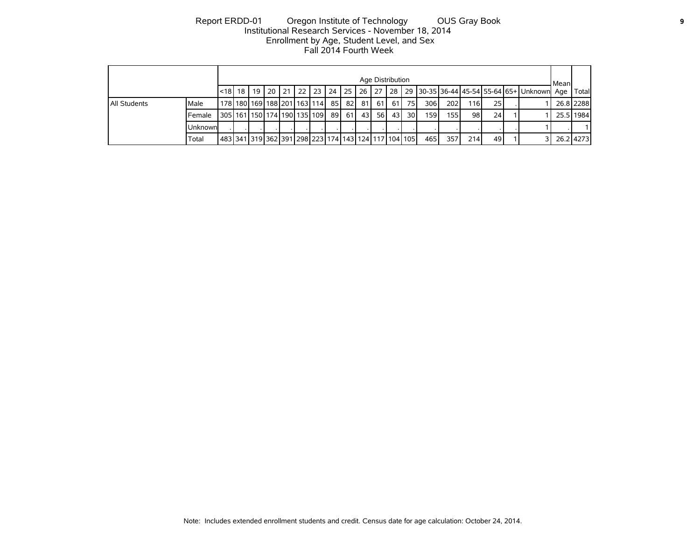# Report ERDD-01 Oregon Institute of Technology OUS Gray Book **9** Institutional Research Services - November 18, 2014 Enrollment by Age, Student Level, and Sex Fall 2014 Fourth Week

|              |          |                                         |                                                                                                                |  |  |  |  |      |  |         |            | Age Distribution |                 |      |       |      |    |       | l Mean |           |
|--------------|----------|-----------------------------------------|----------------------------------------------------------------------------------------------------------------|--|--|--|--|------|--|---------|------------|------------------|-----------------|------|-------|------|----|-------|--------|-----------|
|              |          | l<18l 18 l                              | 20 21 22 23 24 25 26 27 28 29 30-35 36-44 45-54 55-64 65+ Unknown Age<br>- 19 I<br>178 180 169 188 201 163 114 |  |  |  |  |      |  |         |            |                  |                 |      |       |      |    | Total |        |           |
| All Students | Male     |                                         |                                                                                                                |  |  |  |  | 85 I |  | 821 811 | -61 l      | -61 I            | 75 <sub>l</sub> | 306I | 202 l | 116I | 25 |       |        | 26.8 2288 |
|              | Female   | 305   161   150   174   190   135   109 |                                                                                                                |  |  |  |  | 89 I |  | 61 43   | <b>561</b> | 43               | 30 l            | 159  | 155 l | 98   | 24 |       |        | 25.5 1984 |
|              | Unknownl |                                         |                                                                                                                |  |  |  |  |      |  |         |            |                  |                 |      |       |      |    |       |        |           |
|              | Total    |                                         | 483 341 319 362 391 298 223 174 143 124 117 104 105                                                            |  |  |  |  |      |  |         |            |                  |                 | 465  | 357   | 214  | 49 |       |        | 26.214273 |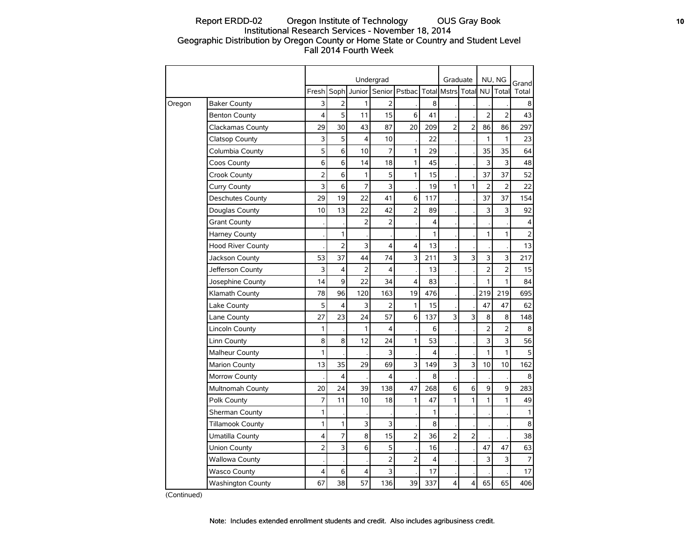# Report ERDD-02 Oregon Institute of Technology OUS Gray Book **10** Institutional Research Services - November 18, 2014 Geographic Distribution by Oregon County or Home State or Country and Student Level Fall 2014 Fourth Week

|        |                          |                |                         |                | Undergrad      |                      |              | Graduate             |                         |                | NU, NG         | Grand          |
|--------|--------------------------|----------------|-------------------------|----------------|----------------|----------------------|--------------|----------------------|-------------------------|----------------|----------------|----------------|
|        |                          | Fresh          | Soph                    | Junior         | Senior         | Pstbac               |              | <b>Totall Mstrs</b>  | Total                   | <b>NU</b>      | Total          | Total          |
| Oregon | <b>Baker County</b>      | 3              | $\overline{2}$          | 1              | $\overline{2}$ |                      | 8            |                      |                         |                |                | 8              |
|        | <b>Benton County</b>     | 4              | 5                       | 11             | 15             | 6                    | 41           |                      |                         | $\overline{2}$ | $\overline{2}$ | 43             |
|        | <b>Clackamas County</b>  | 29             | 30                      | 43             | 87             | 20                   | 209          | 2                    | 2                       | 86             | 86             | 297            |
|        | Clatsop County           | 3              | 5                       | 4              | 10             |                      | 22           |                      |                         | $\mathbf{1}$   | 1              | 23             |
|        | Columbia County          | 5              | 6                       | 10             | 7              | 1                    | 29           |                      |                         | 35             | 35             | 64             |
|        | Coos County              | 6              | 6                       | 14             | 18             | $\mathbf{1}$         | 45           |                      |                         | 3              | 3              | 48             |
|        | Crook County             | $\overline{2}$ | 6                       | 1              | 5              | 1                    | 15           | $\ddot{\phantom{0}}$ |                         | 37             | 37             | 52             |
|        | Curry County             | 3              | 6                       | 7              | 3              |                      | 19           | 1                    | 1                       | 2              | 2              | 22             |
|        | Deschutes County         | 29             | 19                      | 22             | 41             | 6                    | 117          |                      |                         | 37             | 37             | 154            |
|        | Douglas County           | 10             | 13                      | 22             | 42             | $\overline{2}$       | 89           |                      |                         | 3              | 3              | 92             |
|        | <b>Grant County</b>      |                |                         | $\overline{2}$ | $\overline{2}$ | $\ddot{\phantom{0}}$ | 4            |                      |                         |                |                | 4              |
|        | Harney County            |                | $\mathbf{1}$            |                |                |                      | $\mathbf{1}$ |                      |                         | $\mathbf{1}$   | 1              | $\mathbf 2$    |
|        | <b>Hood River County</b> |                | $\overline{2}$          | 3              | 4              | 4                    | 13           |                      |                         |                |                | 13             |
|        | Jackson County           | 53             | 37                      | 44             | 74             | 3                    | 211          | 3                    | 3                       | 3              | 3              | 217            |
|        | Jefferson County         | 3              | 4                       | 2              | $\overline{4}$ |                      | 13           |                      |                         | $\overline{2}$ | $\overline{2}$ | 15             |
|        | Josephine County         | 14             | 9                       | 22             | 34             | 4                    | 83           |                      |                         | 1              | 1              | 84             |
|        | Klamath County           | 78             | 96                      | 120            | 163            | 19                   | 476          |                      |                         | 219            | 219            | 695            |
|        | Lake County              | 5              | 4                       | 3              | $\overline{2}$ | 1                    | 15           |                      |                         | 47             | 47             | 62             |
|        | Lane County              | 27             | 23                      | 24             | 57             | 6                    | 137          | 3                    | 3                       | 8              | 8              | 148            |
|        | Lincoln County           | 1              |                         | 1              | 4              |                      | 6            |                      | $\cdot$                 | $\overline{2}$ | $\overline{2}$ | 8              |
|        | Linn County              | 8              | 8                       | 12             | 24             | 1                    | 53           |                      | $\cdot$                 | 3              | 3              | 56             |
|        | Malheur County           | 1              |                         |                | 3              |                      | 4            |                      |                         | 1              | 1              | 5              |
|        | <b>Marion County</b>     | 13             | 35                      | 29             | 69             | 3                    | 149          | 3                    | 3                       | 10             | 10             | 162            |
|        | Morrow County            |                | $\overline{\mathbf{4}}$ |                | 4              |                      | 8            |                      |                         |                |                | 8              |
|        | Multnomah County         | 20             | 24                      | 39             | 138            | 47                   | 268          | 6                    | 6                       | 9              | 9              | 283            |
|        | Polk County              | 7              | 11                      | 10             | 18             | 1                    | 47           | 1                    | $\mathbf{1}$            | 1              | $\mathbf{1}$   | 49             |
|        | Sherman County           | 1              |                         |                |                |                      | $\mathbf{1}$ |                      |                         |                |                | 1              |
|        | <b>Tillamook County</b>  | $\mathbf{1}$   | 1                       | 3              | 3              |                      | 8            |                      |                         |                |                | 8              |
|        | Umatilla County          | 4              | $\overline{7}$          | 8              | 15             | $\overline{2}$       | 36           | $\overline{2}$       | $\overline{2}$          |                |                | 38             |
|        | Union County             | $\overline{2}$ | 3                       | 6              | 5              |                      | 16           | $\cdot$              | $\cdot$                 | 47             | 47             | 63             |
|        | <b>Wallowa County</b>    |                |                         |                | $\overline{2}$ | 2                    | 4            | $\cdot$              | $\cdot$                 | 3              | 3              | $\overline{7}$ |
|        | <b>Wasco County</b>      | 4              | 6                       | 4              | 3              |                      | 17           |                      |                         |                |                | 17             |
|        | <b>Washington County</b> | 67             | 38                      | 57             | 136            | 39                   | 337          | 4                    | $\overline{\mathbf{4}}$ | 65             | 65             | 406            |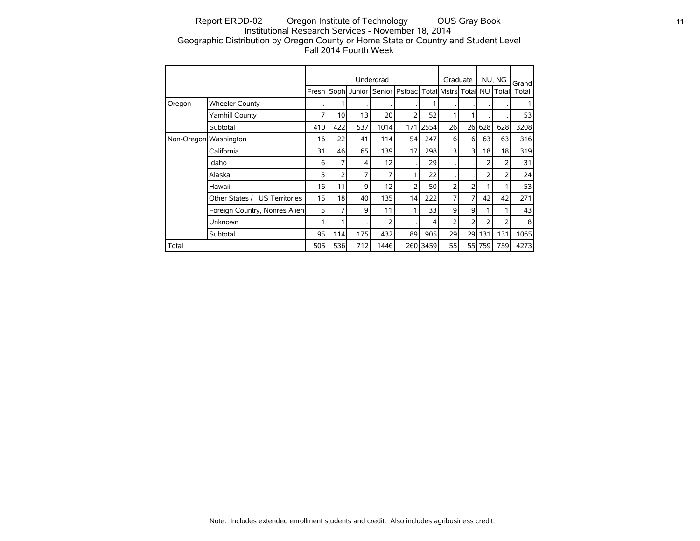# Report ERDD-02 Oregon Institute of Technology OUS Gray Book **11** Institutional Research Services - November 18, 2014 Geographic Distribution by Oregon County or Home State or Country and Student Level Fall 2014 Fourth Week

|                       |                               |     |                 |     | Undergrad                |                                     |          | Graduate |                |     | NU, NG          | Grandl |
|-----------------------|-------------------------------|-----|-----------------|-----|--------------------------|-------------------------------------|----------|----------|----------------|-----|-----------------|--------|
|                       |                               |     |                 |     | Fresh Soph Junior Senior | Pstbac   Total   Mstrs   Total   NU |          |          |                |     | Total           | Total  |
| Oregon                | <b>Wheeler County</b>         |     |                 |     |                          |                                     |          |          |                |     |                 |        |
|                       | Yamhill County                | 7   | 10 <sup>1</sup> | 13  | 20 <sup>1</sup>          | 2                                   | 52       | 1        | 1              |     |                 | 53     |
|                       | Subtotal                      | 410 | 422             | 537 | 1014                     | 171                                 | 2554     | 26       | 26             | 628 | 628             | 3208   |
| Non-Oregon Washington |                               | 16  | 22              | 41  | 114                      | 54                                  | 247      | 6        | 6              | 63  | 63              | 316    |
|                       | California                    | 31  | 46              | 65  | 139                      | 17                                  | 298      | 3        | 3              | 18  | 18 <sup>1</sup> | 319    |
|                       | Idaho                         | 6   | 7               | 4   | 12                       |                                     | 29       |          |                | 2   | 2               | 31     |
|                       | Alaska                        | 5   | 2               | 7   | 7                        | 1                                   | 22       |          |                | 2   | 2               | 24     |
|                       | Hawaii                        | 16  | 11              | 9   | 12                       | $\overline{2}$                      | 50       | 2        | 2              |     |                 | 53     |
|                       | Other States / US Territories | 15  | 18              | 40  | 135                      | 14                                  | 222      | 7        | $\overline{7}$ | 42  | 42              | 271    |
|                       | Foreign Country, Nonres Alien | 5   | 7               | 9   | 11                       | 1                                   | 33       | 9        | 9              |     |                 | 43     |
|                       | Unknown                       |     |                 |     | 2                        |                                     | 4        | 2        | $\overline{2}$ | 2   | 2               | 8      |
|                       | Subtotal                      | 95  | 114             | 175 | 432                      | 89                                  | 905      | 29       | 29             | 131 | 131             | 1065   |
| Total                 |                               | 505 | 536             | 712 | 1446                     |                                     | 260 3459 | 55       | 55 l           | 759 | 759             | 4273   |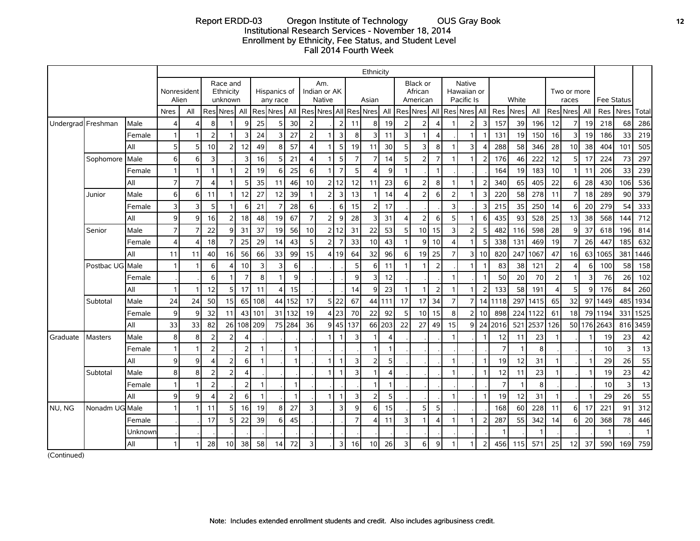#### Report ERDD-03 Oregon Institute of Technology OUS Gray Book **12** Institutional Research Services - November 18, 2014 Enrollment by Ethnicity, Fee Status, and Student Level Fall 2014 Fourth Week

|                    |                  |         |                |                |                         |                                  |                        |              |                          |                |                        |                                      |                         |                         | Ethnicity       |                |                          |                                 |                       |                  |                                            |                          |                 |              |      |                  |                      |                |                 |                   |              |
|--------------------|------------------|---------|----------------|----------------|-------------------------|----------------------------------|------------------------|--------------|--------------------------|----------------|------------------------|--------------------------------------|-------------------------|-------------------------|-----------------|----------------|--------------------------|---------------------------------|-----------------------|------------------|--------------------------------------------|--------------------------|-----------------|--------------|------|------------------|----------------------|----------------|-----------------|-------------------|--------------|
|                    |                  |         | Alien          | Nonresident    |                         | Race and<br>Ethnicity<br>unknown |                        |              | Hispanics of<br>any race |                |                        | Am.<br>Indian or AK<br><b>Native</b> |                         |                         | Asian           |                |                          | Black or<br>African<br>American |                       |                  | <b>Native</b><br>Hawaiian or<br>Pacific Is |                          |                 | White        |      |                  | Two or more<br>races |                |                 | <b>Fee Status</b> |              |
|                    |                  |         | <b>Nres</b>    | All            |                         | <b>Res</b> Nres                  | All                    |              | Res Nres                 | All            |                        | Res Nres All                         |                         |                         | <b>Res</b> Nres |                |                          | All Res Nres All                |                       |                  | Res Nres All                               |                          | Res Nres        |              | All  |                  | Res Nres             | All            |                 | Res Nres          | Total        |
| Undergrad Freshman |                  | Male    |                | $\overline{4}$ | 8                       |                                  | 9                      | 25           | 5                        | 30             | $\overline{2}$         |                                      | $\overline{2}$          | 11                      | 8 <sup>1</sup>  | 19             | $\overline{2}$           | $\overline{2}$                  | $\boldsymbol{\Delta}$ |                  | 2                                          | 3                        | 157             | 39           | 196  | 12               | $\overline{7}$       | 19             | 218             | 68                | 286          |
|                    |                  | Female  |                | 1              | $\overline{2}$          |                                  | 3                      | 24           | 3                        | 27             | $\overline{2}$         |                                      | $\overline{3}$          | 8 <sup>1</sup>          | $\overline{3}$  | 11             | 3                        | 1                               | $\overline{4}$        |                  |                                            | -1                       | 131             | 19           | 150  | 16               | $\overline{3}$       | 19             | 186             | 33                | 219          |
|                    |                  | All     | 5              | 5              | 10                      | 2                                | 12                     | 49           | 8                        | 57             | $\boldsymbol{\Lambda}$ |                                      | 5                       | 19                      | 11              | 30             | 5                        | 3                               | 8                     |                  | ٦                                          | Δ                        | 288             | 58           | 346  | 28               | 10                   | 38             | 404             | 101               | 505          |
|                    | Sophomore        | Male    | 6              | 6              | 3                       |                                  | 3                      | 16           | 5                        | 21             | $\boldsymbol{\Lambda}$ |                                      | 5                       | 7                       | $\overline{7}$  | 14             | 5                        | $\overline{2}$                  | $\overline{7}$        |                  |                                            | $\overline{2}$           | 176             | 46           | 222  | 12               | 5 <sup>1</sup>       | 17             | 224             | 73                | 297          |
|                    |                  | Female  |                | $\overline{1}$ | $\overline{1}$          |                                  | $\overline{2}$         | 19           | 6                        | 25             | 6                      |                                      | $\overline{7}$          | 5                       | $\Delta$        | $\overline{9}$ | $\overline{1}$           |                                 | $\mathbf{1}$          |                  |                                            |                          | 164             | 19           | 183  | 10               |                      | 11             | 206             | 33                | 239          |
|                    |                  | l All   | 7 <sup>1</sup> | $\overline{7}$ | $\overline{\mathbf{A}}$ |                                  | 5                      | 35           | 11                       | 46             | 10                     | $\overline{2}$                       | 12                      | 12                      | 11              | 23             | 6                        | $\overline{2}$                  | 8                     |                  |                                            | $\overline{2}$           | 340             | 65           | 405  | 22               | 6                    | 28             | 430             | 106               | 536          |
|                    | Junior           | Male    | $6 \mid$       | 6              | 11                      |                                  | 12                     | 27           | 12                       | 39             | -1                     | $\overline{2}$                       | $\overline{3}$          | 13                      | 1               | 14             | $\boldsymbol{\Lambda}$   | $\overline{2}$                  | 6                     | $\overline{2}$   |                                            | 3                        | 220             | 58           | 278  | 11               | $\overline{7}$       | 18             | 289             | 90                | 379          |
|                    |                  | Female  | 3              | 3              | 5                       |                                  | 6                      | 21           |                          | 28             | 6                      |                                      | 6                       | 15                      | $\overline{2}$  | 17             |                          |                                 |                       | 3                |                                            | 3                        | 215             | 35           | 250  | 14               | 6                    | 20             | 279             | 54                | 333          |
|                    |                  | l All   | $\overline{9}$ | 9              | 16                      | $\overline{z}$                   | 18                     | 48           | 19                       | 67             | $\overline{7}$         | $\overline{2}$                       | 9                       | 28                      | $\overline{3}$  | 31             | $\boldsymbol{\Delta}$    | $\overline{2}$                  | 6                     | 5                |                                            | 6                        | 435             | 93           | 528  | 25               | 13                   | 38             | 568             | 144               | 712          |
|                    | Senior           | Male    |                | 7              | 22                      | q                                | 31                     | 37           | 19                       | 56             | 10                     |                                      | 12                      | 31                      | 22              | 53             | 5                        | 10                              | 15                    | 3                |                                            | 5                        | 482             | 116          | 598  | 28               | 9                    | 37             | 618             | 196               | 814          |
|                    |                  | Female  | 4              | $\overline{A}$ | 18                      | $\overline{ }$                   | 25                     | 29           | 14                       | 43             | 5                      | $\overline{2}$                       | $\overline{7}$          | 33                      | 10              | 43             | $\mathbf{1}$             | 9                               | 10                    | $\boldsymbol{4}$ |                                            | 5                        | 338             | 131          | 469  | 19               | $\overline{7}$       | 26             | 447             | 185               | 632          |
|                    |                  | All     | 11             | 11             | 40                      | 16                               | 56                     | 66           | 33                       | 99             | 15                     |                                      | 4 19                    | 64                      | 32              | 96             | 6                        | 19                              | 25                    | $\overline{7}$   | 31                                         | 10                       | 820             | 247          | 1067 | 47               | 16                   | 63             | 1065            | 381               | 1446         |
|                    | Postbac UGI Male |         |                | $\mathbf{1}$   | 6                       |                                  | 10                     | 3            | 3                        | 6              |                        |                                      |                         | 5                       | 6               | 11             | 1                        |                                 | $\overline{2}$        |                  |                                            | -1                       | 83              | 38           | 121  | $\overline{2}$   | $\overline{4}$       | 6              | 100             | 58                | 158          |
|                    |                  | Female  |                |                | 6                       |                                  | $\overline{7}$         | 8            |                          | 9              |                        |                                      |                         | $\mathsf{g}$            | $\overline{3}$  | 12             |                          |                                 |                       | $\overline{1}$   |                                            | $\overline{\phantom{a}}$ | 50 <sup>1</sup> | 20           | 70   | 2 <sup>1</sup>   | $\mathbf{1}$         | $\overline{3}$ | 76              | 26                | 102          |
|                    |                  | All     |                | 1              | 12                      | 5                                | 17                     | 11           | 4                        | 15             |                        |                                      |                         | 14                      | $\overline{9}$  | 23             | $\overline{\phantom{a}}$ | 1                               | $\overline{2}$        |                  |                                            | $\overline{2}$           | 133             | 58           | 191  | $\boldsymbol{4}$ | 5                    | 9              | 176             | 84                | 260          |
|                    | Subtotal         | Male    | 24             | 24             | 50                      | 15                               | 65                     | 108          |                          | 44 152         | 17                     | 5 <sup>1</sup>                       | 22                      | 67                      |                 | 44 111         | 17                       | 17                              | 34                    | $\overline{7}$   | 7 <sup>1</sup>                             | 14                       | 1118            | 297          | 1415 | 65               | 32                   | 97             | 1449            | 485               | 1934         |
|                    |                  | Female  | 9              | 9              | 32                      | 11                               | 43                     | 101          | 31                       | 132            | 19                     | 4                                    | 23                      | 70                      | 22              | 92             | 5                        | 10                              | 15                    | 8                | $\mathcal{P}$                              | 10                       | 898             | 224          | 1122 | 61               | 18                   | 79             | 1194            | 331               | 1525         |
|                    |                  | All     | 33             | 33             | 82                      | 26                               | 108                    | 209          |                          | 75 284         | 36                     | $\overline{9}$                       |                         | 45 137                  | 66              | 203            | 22                       | 27                              | 49                    | 15               | 9                                          | 24                       | 2016            | 521          | 2537 | 126              | 50 <sup>1</sup>      | <b>176</b>     | 2643            | 816               | 3459         |
| Graduate           | <b>Masters</b>   | Male    | 8 <sup>1</sup> | 8              | $\overline{2}$          | $\overline{z}$                   | $\boldsymbol{\Lambda}$ |              |                          |                |                        |                                      | $\overline{1}$          | $\overline{3}$          | $\mathbf{1}$    | $\overline{4}$ |                          |                                 |                       | $\overline{1}$   |                                            | -1                       | 12              | 11           | 23   |                  |                      |                | 19              | 23                | 42           |
|                    |                  | Female  |                | $\mathbf{1}$   | $\overline{2}$          |                                  | $\overline{2}$         | $\mathbf{1}$ |                          | -1             |                        |                                      |                         |                         | $\overline{1}$  | -1             |                          |                                 |                       |                  |                                            |                          | $\overline{7}$  | $\mathbf{1}$ | 8    |                  |                      |                | 10 <sup>1</sup> | $\overline{3}$    | 13           |
|                    |                  | All     | $\overline{9}$ | 9              | $\overline{4}$          | $\overline{\phantom{a}}$         | 6                      | $\mathbf{1}$ |                          | $\overline{1}$ |                        |                                      | $\overline{1}$          | $\overline{3}$          | $\overline{2}$  | 5 <sup>1</sup> |                          |                                 |                       | $\overline{1}$   |                                            | -1                       | 19              | 12           | 31   |                  |                      |                | 29              | 26                | 55           |
|                    | Subtotal         | Male    | 8 <sup>1</sup> | 8              | $\overline{2}$          | $\overline{2}$                   | $\overline{4}$         |              |                          |                |                        |                                      | $\overline{1}$          | $\mathbf{3}$            | $\mathbf{1}$    | $\overline{4}$ |                          |                                 |                       | $\overline{1}$   |                                            | $\overline{1}$           | 12              | 11           | 23   |                  |                      | $\mathbf{1}$   | 19              | 23                | 42           |
|                    |                  | Female  |                | $\overline{1}$ | $\overline{2}$          |                                  | $\overline{2}$         | $\mathbf{1}$ |                          | $\overline{1}$ |                        |                                      |                         |                         | $\mathbf{1}$    | $\mathbf{1}$   |                          |                                 |                       |                  |                                            |                          | $\overline{7}$  | $\mathbf{1}$ | 8    |                  |                      |                | 10              | $\overline{3}$    | 13           |
|                    |                  | All     | $\overline{9}$ | 9              | $\overline{4}$          | $\overline{z}$                   | 6                      | $\mathbf{1}$ |                          | $\overline{1}$ |                        |                                      | $\overline{1}$          | $\overline{\mathbf{3}}$ | $\overline{2}$  | 5 <sup>1</sup> |                          |                                 |                       | $\mathbf{1}$     |                                            | -1                       | 19              | 12           | 31   |                  |                      | -1             | 29              | 26                | 55           |
| NU, NG             | Nonadm UG Male   |         |                | $\overline{1}$ | 11                      | 5                                | 16                     | 19           | 8                        | 27             | $\overline{3}$         |                                      | $\overline{3}$          | $\mathsf{g}$            | $6 \mid$        | 15             |                          | 5                               | 5                     |                  |                                            |                          | 168             | 60           | 228  | 11               | $6 \mid$             | 17             | 221             | 91                | 312          |
|                    |                  | Female  |                |                | 17                      | 5                                | 22                     | 39           | 6                        | 45             |                        |                                      |                         | $\overline{7}$          | 4               | 11             | 3                        | 1                               | $\boldsymbol{\Delta}$ | $\mathbf{1}$     |                                            | $\overline{2}$           | 287             | 55           | 342  | 14               | 6                    | 20             | 368             | 78                | 446          |
|                    |                  | Unknowr |                |                |                         |                                  |                        |              |                          |                |                        |                                      |                         |                         |                 |                |                          |                                 |                       |                  |                                            |                          |                 |              |      |                  |                      |                |                 |                   | $\mathbf{1}$ |
|                    |                  | All     |                | $\mathbf{1}$   | 28                      | 10                               | 38                     | 58           | 14                       | 72             | 3                      |                                      | $\overline{\mathbf{3}}$ | 16                      | 10              | 26             | $\overline{3}$           | 6                               | 9                     |                  |                                            | $\overline{2}$           | 456             | 115          | 571  | 25               | 12                   | 37             | 590             | 169               | 759          |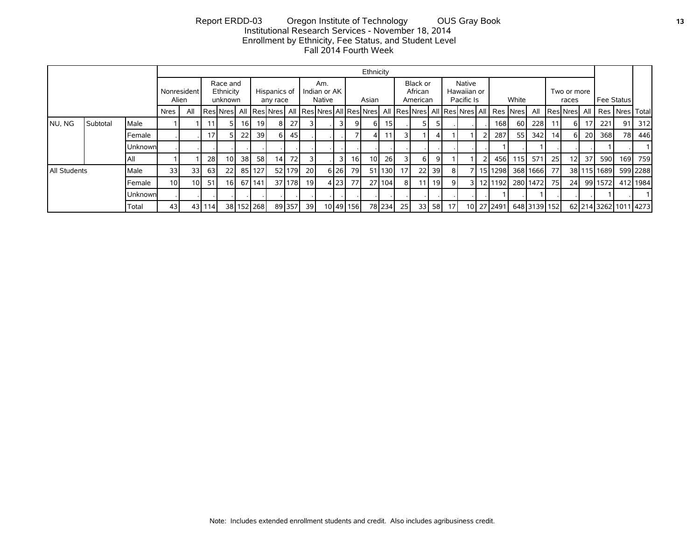#### Report ERDD-03 Oregon Institute of Technology OUS Gray Book **13** Institutional Research Services - November 18, 2014 Enrollment by Ethnicity, Fee Status, and Student Level Fall 2014 Fourth Week

|                      |          |         |                 |                 |     |                                                      |      |            |                          |        |           |                               |                |           | Ethnicity       |        |                 |                                 |      |    |                                     |    |                                               |       |              |                 |                       |                 |             |                       |          |
|----------------------|----------|---------|-----------------|-----------------|-----|------------------------------------------------------|------|------------|--------------------------|--------|-----------|-------------------------------|----------------|-----------|-----------------|--------|-----------------|---------------------------------|------|----|-------------------------------------|----|-----------------------------------------------|-------|--------------|-----------------|-----------------------|-----------------|-------------|-----------------------|----------|
| Nonresident<br>Alien |          |         |                 |                 |     | Race and<br>Ethnicity<br>unknown                     |      |            | Hispanics of<br>any race |        |           | Am.<br>Indian or AK<br>Native |                |           | Asian           |        |                 | Black or<br>African<br>American |      |    | Native<br>Hawaiian or<br>Pacific Is |    |                                               | White |              |                 | Two or more<br>races  |                 | Fee Status  |                       |          |
|                      |          |         | <b>Nres</b>     | All             |     | ResNres  All   ResNres  All   ResNres  All   ResNres |      |            |                          |        |           |                               |                |           |                 |        |                 |                                 |      |    |                                     |    | All  Res Nres  All  Res Nres  All   Res  Nres |       | All          |                 | <b>IResINresI All</b> |                 |             | Res Nres   Total      |          |
| NU, NG               | Subtotal | Male    |                 |                 | 11  |                                                      | 16 I | 19         |                          | 27     |           |                               | $\overline{3}$ | 9         | 6               | 15     |                 |                                 |      |    |                                     |    | 168                                           | 60    | 228          | 11 <sup>1</sup> | 6 I                   | 17 <sup>1</sup> | 221         | 91                    | 312      |
|                      |          | Female  |                 |                 | 17  |                                                      | 22   | 39         |                          | 45     |           |                               |                |           | 4               | 11     | 31              |                                 |      |    |                                     | 21 | 287                                           | -55 I | 342          | 14              | 6 I                   | 20 l            | 368I        | 78I                   | 446      |
|                      |          | Unknown |                 |                 |     |                                                      |      |            |                          |        |           |                               |                |           |                 |        |                 |                                 |      |    |                                     |    |                                               |       |              |                 |                       |                 |             |                       |          |
|                      |          | l All   |                 |                 | 28  | 10 I                                                 | 38 l | 58         | 14 <sub>1</sub>          | 72I    |           |                               | $\overline{3}$ | 16        | 10 <sup>1</sup> | 26     | 31              | 6 I                             | 9    |    |                                     | 21 | 456 l                                         | 115   | 571          | 25 <sub>l</sub> | 12 <sub>l</sub>       | 37 I            | 590 l       | 169 l                 | 759      |
| <b>All Students</b>  |          | Male    | 33              | 33              | 63  | 22                                                   |      | 85 127     |                          | 52 179 | <b>20</b> |                               | $6 26 $        | 79        |                 | 51 130 | 17 <sup>1</sup> | 22                              | 39 l | 81 |                                     |    | 15 1298                                       |       | 368 1666     | 77 I            |                       |                 | 38 115 1689 |                       | 599 2288 |
|                      |          | Female  | 10 <sup>1</sup> | 10 <sup>1</sup> | 51  | 16 I                                                 |      | 67 141     |                          | 37 178 | - 19 I    |                               | 4 23           | 77        |                 | 27 104 | 8               | 11                              | 19 I | 9  | 3 I                                 |    | 12111921 280114721                            |       |              | 75 I            | 24                    |                 | 99 1572     |                       | 412 1984 |
|                      |          | Unknown |                 |                 |     |                                                      |      |            |                          |        |           |                               |                |           |                 |        |                 |                                 |      |    |                                     |    |                                               |       |              |                 |                       |                 |             |                       |          |
|                      |          | Total   | 43              | 43 <sub>l</sub> | 114 |                                                      |      | 38 152 268 |                          | 89 357 | 39        |                               |                | 10 49 156 |                 | 78 234 | 25 l            | 33                              | 58   | 17 |                                     |    | 10 27 2491                                    |       | 648 3139 152 |                 |                       |                 |             | 62 214 3262 1011 4273 |          |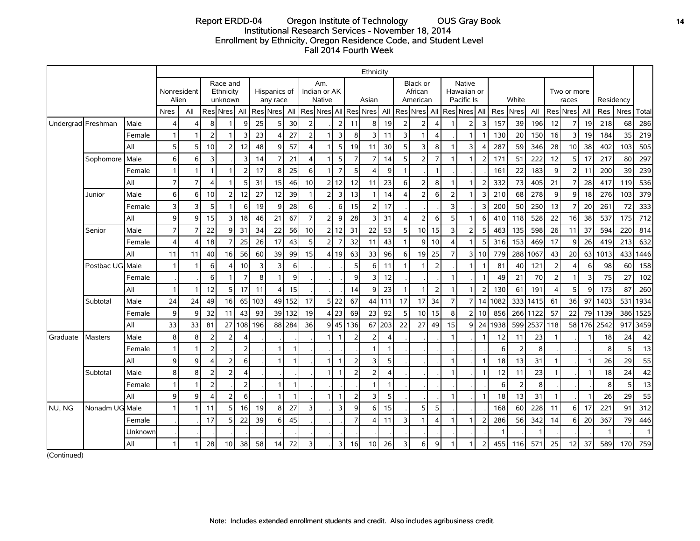# Report ERDD-04 Oregon Institute of Technology OUS Gray Book **14** Institutional Research Services - November 18, 2014 Enrollment by Ethnicity, Oregon Residence Code, and Student Level Fall 2014 Fourth Week

|                    |                 |         | Ethnicity      |                |                         |                |                                                          |     |                          |     |                  |                                      |                |                |                             |              |                |                                 |                         |                         |                                     |                 |      |       |          |                       |                      |        |      |           |              |
|--------------------|-----------------|---------|----------------|----------------|-------------------------|----------------|----------------------------------------------------------|-----|--------------------------|-----|------------------|--------------------------------------|----------------|----------------|-----------------------------|--------------|----------------|---------------------------------|-------------------------|-------------------------|-------------------------------------|-----------------|------|-------|----------|-----------------------|----------------------|--------|------|-----------|--------------|
|                    |                 |         |                |                |                         |                | Race and<br>Nonresident<br>Ethnicity<br>Alien<br>unknown |     | Hispanics of<br>any race |     |                  | Am.<br>Indian or AK<br><b>Native</b> |                |                | Asian                       |              |                | Black or<br>African<br>American |                         |                         | Native<br>Hawaiian or<br>Pacific Is |                 |      | White |          |                       | Two or more<br>races |        |      | Residency |              |
|                    |                 |         | <b>Nres</b>    | All            |                         | Res Nres       | All                                                      |     | Res Nres                 | All |                  |                                      |                |                | Res Nres All Res Nres   All |              |                | Res Nres  AII                   |                         |                         | Res Nres All                        |                 | Res  | Nres  | All      |                       | Res Nres             | All    | Res  | Nres      | Total        |
| Undergrad Freshman |                 | Male    |                | $\overline{4}$ | 8                       |                | $\mathsf{Q}$                                             | 25  |                          | 30  | $\overline{2}$   |                                      | 2              | 11             | 8 <sup>1</sup>              | 19           | $\overline{2}$ | 2                               | $\overline{4}$          |                         | $\overline{2}$                      | 3               | 157  | 39    | 196      | 12                    | 7                    | 19     | 218  | 68        | 286          |
|                    |                 | Female  |                | $\mathbf{1}$   | $\overline{2}$          |                | 3                                                        | 23  |                          | 27  | $\overline{2}$   |                                      | $\overline{3}$ | 8              | $\overline{3}$              | 11           | 3              |                                 | $\overline{\mathbf{4}}$ |                         |                                     |                 | 130  | 20    | 150      | 16                    | 3                    | 19     | 184  | 35        | 219          |
|                    |                 | All     | 5              | 5              | 10                      |                | 12                                                       | 48  | q                        | 57  | $\boldsymbol{4}$ |                                      | 5 <sup>1</sup> | 19             | 11                          | 30           | 5              | 3                               | $\bf 8$                 |                         | 3                                   |                 | 287  | 59    | 346      | 28                    | 10                   | 38     | 402  | 103       | 505          |
|                    | Sophomore       | Male    | 6              | 6              | 3                       |                | 3                                                        | 14  |                          | 21  | $\overline{4}$   |                                      | 5 <sup>1</sup> | $\overline{7}$ | $\overline{7}$              | 14           | 5              | $\overline{2}$                  | $\overline{7}$          | 1                       |                                     | $\overline{2}$  | 171  | 51    | 222      | 12                    | 5                    | 17     | 217  | 80        | 297          |
|                    |                 | Female  |                | $\mathbf{1}$   | 1                       |                | $\overline{2}$                                           | 17  | 8                        | 25  | 6                |                                      | $\overline{7}$ | 5              | 4                           | $\mathbf{9}$ | $\mathbf{1}$   |                                 | $\mathbf{1}$            |                         |                                     |                 | 161  | 22    | 183      | 9                     | $\overline{2}$       | 11     | 200  | 39        | 239          |
|                    |                 | All     | $\overline{7}$ | $\overline{7}$ | $\overline{\mathbf{A}}$ |                | 5                                                        | 31  | 15                       | 46  | 10               |                                      | 2 12           | 12             | 11                          | 23           | 6              | $\overline{2}$                  | 8 <sup>1</sup>          |                         |                                     |                 | 332  | 73    | 405      | 21                    | $\overline{7}$       | 28     | 417  | 119       | 536          |
|                    | Junior          | Male    | $6 \mid$       | 6              | 10                      | $\overline{2}$ | 12                                                       | 27  | 12                       | 39  | $\overline{1}$   | 2 <sub>1</sub>                       | $\overline{3}$ | 13             |                             | 14           | $\overline{4}$ | $\overline{2}$                  | 6                       | $\overline{2}$          |                                     | 3               | 210  | 68    | 278      | 9                     | 9                    | 18     | 276  | 103       | 379          |
|                    |                 | Female  | $\overline{3}$ | 3              | 5                       |                | 6                                                        | 19  | 9                        | 28  | 6                |                                      | $6 \mid$       | 15             | 2                           | 17           |                |                                 |                         | 3                       |                                     | Р               | 200  | 50    | 250      | 13                    | 7                    | 20     | 261  | 72        | 333          |
|                    |                 | All     | $\mathbf{9}$   | 9              | 15                      | 3              | 18                                                       | 46  | 21                       | 67  | $\overline{7}$   | 2 <sub>1</sub>                       | 9 <sub>l</sub> | 28             | $\overline{3}$              | 31           | $\overline{4}$ | $\overline{2}$                  | 6                       | 5                       |                                     | 6               | 410  | 118   | 528      | 22                    | 16                   | 38     | 537  | 175       | 712          |
|                    | Senior          | Male    | $\overline{7}$ | $\overline{7}$ | 22                      | 9              | 31                                                       | 34  | 22                       | 56  | 10               | 21                                   | 12             | 31             | 22                          | 53           | 5              | 10                              | 15                      | 3                       | $\overline{2}$                      | 5               | 463  | 135   | 598      | 26                    | 11                   | 37     | 594  | 220       | 814          |
|                    |                 | Female  |                | $\overline{4}$ | 18                      | $\overline{7}$ | 25                                                       | 26  | 17                       | 43  | 5                | 2 <sup>1</sup>                       | $\overline{z}$ | 32             | 11                          | 43           | $\mathbf{1}$   | 9                               | 10                      | $\overline{\mathbf{A}}$ |                                     | 5               | 316  | 153   | 469      | 17                    | 9                    | 26     | 419  | 213       | 632          |
|                    |                 | All     | 11             | 11             | 40                      | 16             | 56                                                       | 60  | 39                       | 99  | 15               |                                      | 4 19           | 63             | 33                          | 96           | $6 \mid$       | 19                              | 25                      | $\overline{7}$          | 31                                  | 10 <sup>1</sup> | 779  | 288   | 1067     | 43                    | 20                   | 63     | 1013 | 433       | 1446         |
|                    | Postbac UG Male |         |                | $\mathbf{1}$   | 6                       |                | 10                                                       | 3   |                          | 6   |                  |                                      |                | 5              | 6                           | 11           |                |                                 | $\overline{2}$          |                         |                                     |                 | 81   | 40    | 121      | $\overline{2}$        | 4                    | 6      | 98   | 60        | 158          |
|                    |                 | Female  |                |                | 6                       |                | $\overline{7}$                                           | 8   |                          | 9   |                  |                                      |                | 9              | $\overline{3}$              | 12           |                |                                 |                         | $\overline{1}$          |                                     |                 | 49   | 21    | 70       | $\overline{2}$        | $\mathbf{1}$         | 3      | 75   | 27        | 102          |
|                    |                 | All     |                | $\mathbf{1}$   | 12                      | 5              | 17                                                       | 11  |                          | 15  |                  |                                      |                | 14             | $\overline{9}$              | 23           | $\mathbf{1}$   |                                 | $\overline{2}$          | 1                       |                                     | $\mathcal{D}$   | 130  | 61    | 191      | $\boldsymbol{\Delta}$ | 5                    | 9      | 173  | 87        | 260          |
|                    | Subtotal        | Male    | 24             | 24             | 49                      | 16             | 65                                                       | 103 | 49                       | 152 | 17               |                                      | 5 22           | 67             |                             | 44 111       | 17             | 17                              | 34                      | $\overline{7}$          | 7                                   | 14              | 1082 |       | 333 1415 | 61                    | 36                   | 97     | 1403 | 531       | 1934         |
|                    |                 | Female  | 9              | 9              | 32                      | 11             | 43                                                       | 93  | 39                       | 132 | 19               |                                      | 4 23           | 69             | 23                          | 92           | 5              | 10 <sup>1</sup>                 | 15                      | 8                       | $\overline{2}$                      | 10              | 856  |       | 266 1122 | 57                    | 22                   | 79I    | 1139 | 386       | 1525         |
|                    |                 | All     | 33             | 33             | 81                      | 27             | 108                                                      | 196 | 88                       | 284 | 36               |                                      | 9 45           | 136            | 67                          | 203          | 22             | 27                              | 49                      | 15                      | $\mathsf{q}$                        | 24              | 1938 | 599   | 2537     | 118                   |                      | 58 176 | 2542 | 917       | 3459         |
| Graduate           | Masters         | Male    | 8              | 8              | $\overline{2}$          | $\overline{2}$ |                                                          |     |                          |     |                  | 1 <sup>1</sup>                       | $\mathbf{1}$   | $\overline{2}$ | $\overline{2}$              |              |                |                                 |                         | 1                       |                                     |                 | 12   | 11    | 23       | $\overline{1}$        |                      |        | 18   | 24        | 42           |
|                    |                 | Female  |                | $\mathbf{1}$   | $\overline{2}$          |                | $\overline{2}$                                           |     |                          |     |                  |                                      |                |                |                             |              |                |                                 |                         |                         |                                     |                 | 6    | 2     | 8        |                       |                      |        | 8    | 5         | 13           |
|                    |                 | All     | $\mathbf{9}$   | 9              | 4                       | $\overline{2}$ | 6                                                        |     |                          | -1  |                  | 1                                    | $\overline{1}$ | $\overline{2}$ | 3                           | 5            |                |                                 |                         | 1                       |                                     |                 | 18   | 13    | 31       | -1                    |                      | -1     | 26   | 29        | 55           |
|                    | Subtotal        | Male    | 8              | 8              | $\overline{2}$          | $\overline{2}$ | $\overline{4}$                                           |     |                          |     |                  | 1                                    | $\mathbf{1}$   | $\overline{2}$ | $\overline{2}$              | 4            |                |                                 |                         | $\mathbf{1}$            |                                     | -1              | 12   | 11    | 23       | $\mathbf{1}$          |                      | 1      | 18   | 24        | 42           |
|                    |                 | Female  |                | $\mathbf{1}$   | $\overline{2}$          |                | $\overline{2}$                                           |     |                          |     |                  |                                      |                |                |                             |              |                |                                 |                         |                         |                                     |                 | 6    | 2     | 8        |                       |                      |        | 8    | 5         | 13           |
|                    |                 | All     | $\mathbf{9}$   | 9              | $\overline{\mathbf{4}}$ | $\overline{2}$ | 6                                                        |     |                          | -1  |                  | 1                                    | $\overline{1}$ | $\overline{2}$ | $\overline{3}$              | 5            |                |                                 |                         | 1                       |                                     |                 | 18   | 13    | 31       | $\overline{1}$        |                      |        | 26   | 29        | 55           |
| NU. NG             | Nonadm UG Male  |         |                | $\mathbf{1}$   | 11                      | 5              | 16                                                       | 19  | 8                        | 27  | 3                |                                      | $\overline{3}$ | 9              | $6 \overline{6}$            | 15           |                | 5                               | 5                       |                         |                                     |                 | 168  | 60    | 228      | 11                    | $6 \overline{6}$     | 17     | 221  | 91        | 312          |
|                    |                 | Female  |                |                | 17                      | 5              | 22                                                       | 39  | 6                        | 45  |                  |                                      |                | $\overline{7}$ | 4                           | 11           | 3              |                                 | $\overline{\mathbf{A}}$ |                         |                                     |                 | 286  | 56    | 342      | 14                    | 6                    | 20     | 367  | 79        | 446          |
|                    |                 | Unknowr |                |                |                         |                |                                                          |     |                          |     |                  |                                      |                |                |                             |              |                |                                 |                         |                         |                                     |                 |      |       |          |                       |                      |        |      |           | $\mathbf{1}$ |
|                    |                 | All     |                | $\mathbf{1}$   | 28                      | 10             | 38                                                       | 58  | 14                       | 72  | 3                |                                      | $\overline{3}$ | 16             | 10                          | 26           | 3              | 6                               | 9                       |                         |                                     | 2               | 455  | 116   | 571      | 25                    | 12                   | 37     | 589  | 170       | 759          |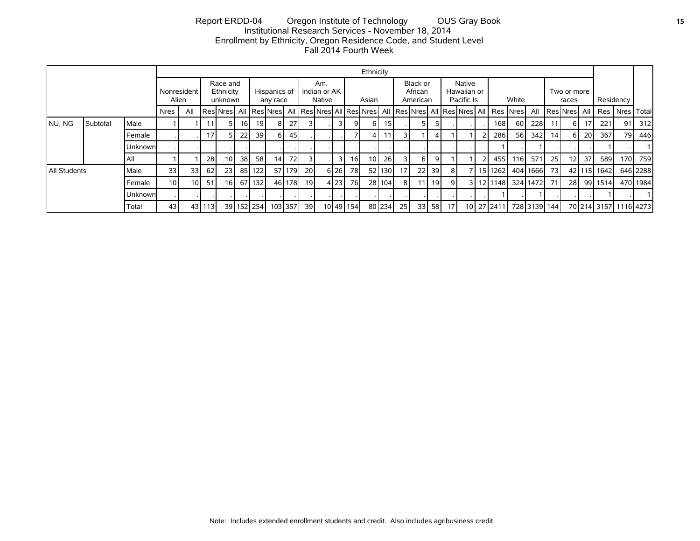# Report ERDD-04 Oregon Institute of Technology OUS Gray Book **15** Institutional Research Services - November 18, 2014 Enrollment by Ethnicity, Oregon Residence Code, and Student Level Fall 2014 Fourth Week

|              |                      |         |                 |                 |         |                                  |                 |            |                          |         |                               |  |       |                 | Ethnicity                       |           |                 |                 |                                     |                 |  |       |               |                                                                         |                      |                 |                       |            |             |                       |          |
|--------------|----------------------|---------|-----------------|-----------------|---------|----------------------------------|-----------------|------------|--------------------------|---------|-------------------------------|--|-------|-----------------|---------------------------------|-----------|-----------------|-----------------|-------------------------------------|-----------------|--|-------|---------------|-------------------------------------------------------------------------|----------------------|-----------------|-----------------------|------------|-------------|-----------------------|----------|
|              | Nonresident<br>Alien |         |                 |                 |         | Race and<br>Ethnicity<br>unknown |                 |            | Hispanics of<br>any race |         | Am.<br>Indian or AK<br>Native |  | Asian |                 | Black or<br>African<br>American |           |                 |                 | Native<br>Hawaiian or<br>Pacific Is |                 |  | White |               |                                                                         | Two or more<br>races |                 |                       | Residency  |             |                       |          |
|              |                      |         | Nres            | All             |         | <b>I</b> ResiNres                |                 |            | All   Res   Nres         |         |                               |  |       |                 |                                 |           |                 |                 |                                     |                 |  |       |               | All Res Nres All Res Nres All Res Nres All Res Nres All Res Nres   Nres | All                  |                 | <b>IResINresI All</b> |            |             | Res   Nres   Total    |          |
| NU, NG       | Subtotal             | Male    |                 |                 | 11      |                                  | <b>16</b>       | 19         |                          | 27      |                               |  | 31    | 9               | 61                              | 15        |                 | 5               | 5.                                  |                 |  |       | 168I          | 60 l                                                                    | 228                  | 11              | 61                    |            | 221         | 91                    | 312      |
|              |                      | Female  |                 |                 | 17      |                                  | 22              | 39         |                          | 45      |                               |  |       |                 | 4                               |           | 3               |                 | 4                                   |                 |  |       | 286           | <b>56</b>                                                               | 342                  | 14 <sub>1</sub> | 61                    | <b>201</b> | 367         | 79                    | 446      |
|              |                      | Unknown |                 |                 |         |                                  |                 |            |                          |         |                               |  |       |                 |                                 |           |                 |                 |                                     |                 |  |       |               |                                                                         |                      |                 |                       |            |             |                       |          |
|              |                      | All     |                 |                 | 28      | 10 <sup>1</sup>                  | 38 <sup>1</sup> | 58         | 14                       | 72      | 3                             |  | 31    | 16 <sup>1</sup> | 10 <sup>1</sup>                 | <b>26</b> | 3               | 6 I             | 9 <sub>l</sub>                      |                 |  |       | 455 l         | 116 <b>I</b>                                                            | 571                  | 25              | 12 <sub>1</sub>       | 37         | 589         | 170 l                 | 759      |
| All Students |                      | Male    | 33              | 33              | 62      | 231                              | 85              | 122        |                          | 57 179  | <b>20</b>                     |  | 6 26  | 78 l            |                                 | 52 130    | 17 <sup>1</sup> | 22 <sup>1</sup> | 39 I                                | 8               |  |       | 15 1262       |                                                                         | 404 1666             | 73              |                       |            | 42 115 1642 |                       | 646 2288 |
|              |                      | Female  | 10 <sup>1</sup> | 10 <sup>1</sup> | 51      | 16 <sup>1</sup>                  | 67              | 132        |                          | 46 178  | <u> 19</u>                    |  | 4 23  | 76I             |                                 | 28 104    | 81              | 11 <sup>1</sup> | 19 <sub>l</sub>                     | 9               |  |       | 3   12   1148 |                                                                         | 324 1472 71          |                 | 28                    |            | 99 1514     |                       | 470 1984 |
|              |                      | Unknown |                 |                 |         |                                  |                 |            |                          |         |                               |  |       |                 |                                 |           |                 |                 |                                     |                 |  |       |               |                                                                         |                      |                 |                       |            |             |                       |          |
|              |                      | Total   | 43              |                 | 4311131 |                                  |                 | 39 152 254 |                          | 103 357 | 39 l                          |  |       | 10 49 154       |                                 | 80 234    | 251             | 33 <sup>1</sup> | 58 I                                | 17 <sub>1</sub> |  |       | 10 27 2411    |                                                                         | 728 3139 144         |                 |                       |            |             | 70 214 3157 1116 4273 |          |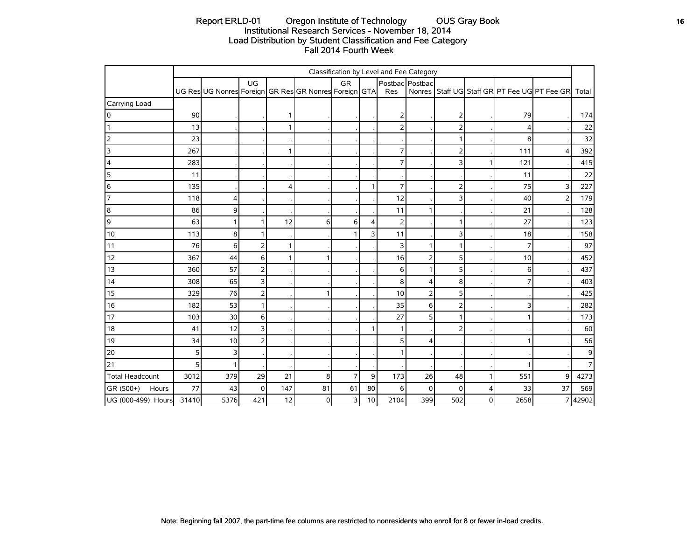# Report ERLD-01 Oregon Institute of Technology OUS Gray Book **16** OUS Gramma Constant 16 Institutional Research Services - November 18, 2014 Load Distribution by Student Classification and Fee Category Fall 2014 Fourth Week

|                        | Classification by Level and Fee Category |                                                       |                |     |    |                |    |                |                 |          |   |      |                                                    |       |
|------------------------|------------------------------------------|-------------------------------------------------------|----------------|-----|----|----------------|----|----------------|-----------------|----------|---|------|----------------------------------------------------|-------|
|                        |                                          |                                                       | UG             |     |    | <b>GR</b>      |    |                | Postbac Postbac |          |   |      |                                                    |       |
|                        |                                          | UG Res UG Nonres Foreign GR Res GR Nonres Foreign GTA |                |     |    |                |    | Res            |                 |          |   |      | Nonres Staff UG Staff GR PT Fee UG PT Fee GR Total |       |
| Carrying Load          |                                          |                                                       |                |     |    |                |    |                |                 |          |   |      |                                                    |       |
| 0                      | 90                                       |                                                       |                |     |    |                |    | 2              |                 | 2        |   | 79   |                                                    | 174   |
|                        | 13                                       |                                                       |                | 1   |    |                |    | $\overline{2}$ |                 | 2        |   | 4    |                                                    | 22    |
| $\overline{2}$         | 23                                       |                                                       |                |     |    |                |    |                |                 | 1        |   | 8    |                                                    | 32    |
| 3                      | 267                                      |                                                       |                | 1   |    |                |    | $\overline{7}$ |                 | 2        |   | 111  | $\overline{4}$                                     | 392   |
| $\overline{4}$         | 283                                      |                                                       |                |     |    |                |    | $\overline{7}$ |                 | 3        |   | 121  |                                                    | 415   |
| 5                      | 11                                       |                                                       |                |     |    |                |    |                |                 |          |   | 11   |                                                    | 22    |
| 6                      | 135                                      |                                                       |                | 4   |    |                | 1  | $\overline{7}$ |                 | 2        |   | 75   | 3                                                  | 227   |
| $\overline{7}$         | 118                                      | 4                                                     |                |     |    |                |    | 12             |                 | 3        |   | 40   | $\overline{2}$                                     | 179   |
| $\boldsymbol{8}$       | 86                                       | 9                                                     |                |     |    |                |    | 11             |                 |          |   | 21   |                                                    | 128   |
| $\overline{9}$         | 63                                       | 1                                                     |                | 12  | 6  | 6              | 4  | $\overline{2}$ |                 | 1        |   | 27   |                                                    | 123   |
| 10                     | 113                                      | 8                                                     |                |     |    |                | 3  | 11             |                 | 3        |   | 18   |                                                    | 158   |
| 11                     | 76                                       | 6                                                     | $\overline{2}$ | 1   |    |                |    | 3              |                 | 1        |   | 7    |                                                    | 97    |
| 12                     | 367                                      | 44                                                    | 6              | 1   |    |                |    | 16             | $\overline{2}$  | 5        |   | 10   |                                                    | 452   |
| 13                     | 360                                      | 57                                                    | $\overline{2}$ |     |    |                |    | 6              | 1               | 5        |   | 6    |                                                    | 437   |
| 14                     | 308                                      | 65                                                    | $\overline{3}$ |     |    |                |    | 8              | 4               | 8        |   |      |                                                    | 403   |
| 15                     | 329                                      | 76                                                    | $\mathbf 2$    |     |    |                |    | $10$           | $\mathbf 2$     | 5        |   |      |                                                    | 425   |
| 16                     | 182                                      | 53                                                    | $\mathbf{1}$   |     |    |                |    | 35             | 6               | 2        |   | 3    |                                                    | 282   |
| 17                     | 103                                      | 30                                                    | 6              |     |    |                |    | 27             | 5               | 1        |   |      |                                                    | 173   |
| 18                     | 41                                       | 12                                                    | 3              |     |    |                | 1  | 1              |                 | 2        |   |      |                                                    | 60    |
| 19                     | 34                                       | 10                                                    | $\overline{2}$ |     |    |                |    | 5              | 4               |          |   |      |                                                    | 56    |
| 20                     | 5 <sub>l</sub>                           | 3                                                     |                |     |    |                |    |                |                 |          |   |      |                                                    | 9     |
| 21                     | 5 <sup>1</sup>                           | 1                                                     |                |     |    |                |    |                |                 |          |   |      |                                                    | 7     |
| <b>Total Headcount</b> | 3012                                     | 379                                                   | 29             | 21  | 8  | $\overline{7}$ | 9  | 173            | 26              | 48       |   | 551  | 9                                                  | 4273  |
| GR (500+)<br>Hours     | 77                                       | 43                                                    | 0              | 147 | 81 | 61             | 80 | 6              | $\Omega$        | $\Omega$ | 4 | 33   | 37                                                 | 569   |
| UG (000-499) Hours     | 31410                                    | 5376                                                  | 421            | 12  | 0  | 3              | 10 | 2104           | 399             | 502      | 0 | 2658 | $\overline{7}$                                     | 42902 |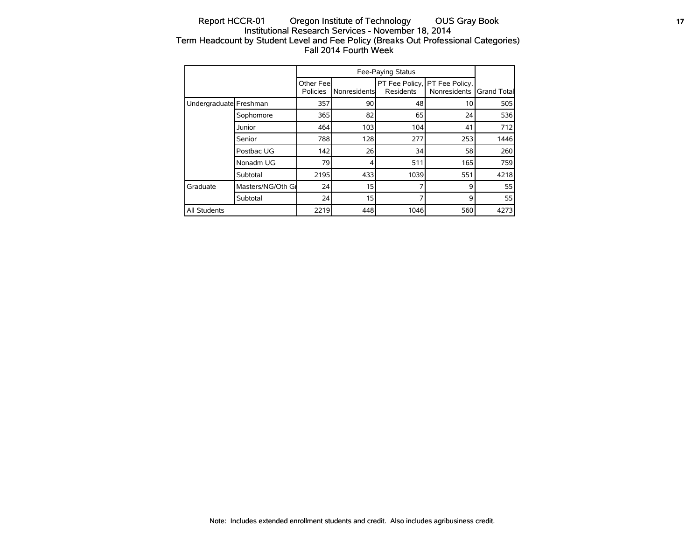# Report HCCR-01 Oregon Institute of Technology OUS Gray Book **17** 17 Institutional Research Services - November 18, 2014 Term Headcount by Student Level and Fee Policy (Breaks Out Professional Categories) Fall 2014 Fourth Week

|                        |                   | Other Fee<br>Policies | Nonresidents | Residents | PT Fee Policy, PT Fee Policy,<br>Nonresidents | <b>Grand Total</b> |
|------------------------|-------------------|-----------------------|--------------|-----------|-----------------------------------------------|--------------------|
| Undergraduate Freshman |                   | 357                   | 90           | 48        | 10                                            | 505                |
|                        | Sophomore         | 365                   | 82           | 65        | 24                                            | 536                |
|                        | Junior            | 464                   | 103          | 104       | 41                                            | 712                |
|                        | Senior            | 788                   | 128          | 277       | 253                                           | 1446               |
|                        | Postbac UG        | 142                   | 26           | 34        | 58                                            | 260                |
|                        | Nonadm UG         | 79                    | 4            | 511       | 165                                           | 759                |
|                        | Subtotal          | 2195                  | 433          | 1039      | 551                                           | 4218               |
| <b>Graduate</b>        | Masters/NG/Oth Gr | 24                    | 15           |           | 9                                             | 55                 |
|                        | Subtotal          | 24                    | 15           |           | 9                                             | 55                 |
| All Students           |                   | 2219                  | 448          | 1046      | 560                                           | 4273               |